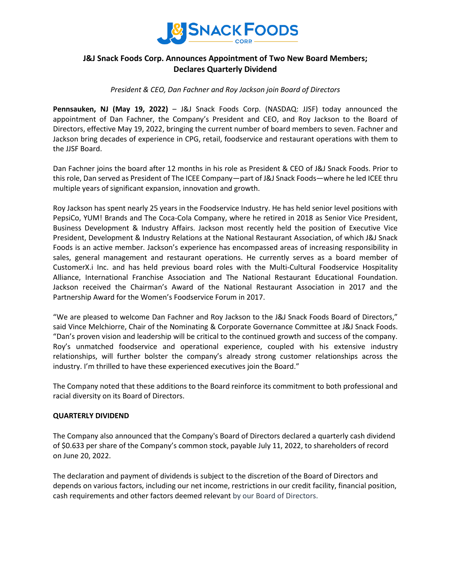

# **J&J Snack Foods Corp. Announces Appointment of Two New Board Members; Declares Quarterly Dividend**

## *President & CEO, Dan Fachner and Roy Jackson join Board of Directors*

**Pennsauken, NJ (May 19, 2022)** – J&J Snack Foods Corp. (NASDAQ: JJSF) today announced the appointment of Dan Fachner, the Company's President and CEO, and Roy Jackson to the Board of Directors, effective May 19, 2022, bringing the current number of board members to seven. Fachner and Jackson bring decades of experience in CPG, retail, foodservice and restaurant operations with them to the JJSF Board.

Dan Fachner joins the board after 12 months in his role as President & CEO of J&J Snack Foods. Prior to this role, Dan served as President of The ICEE Company—part of J&J Snack Foods—where he led ICEE thru multiple years of significant expansion, innovation and growth.

Roy Jackson has spent nearly 25 years in the Foodservice Industry. He has held senior level positions with PepsiCo, YUM! Brands and The Coca-Cola Company, where he retired in 2018 as Senior Vice President, Business Development & Industry Affairs. Jackson most recently held the position of Executive Vice President, Development & Industry Relations at the National Restaurant Association, of which J&J Snack Foods is an active member. Jackson's experience has encompassed areas of increasing responsibility in sales, general management and restaurant operations. He currently serves as a board member of CustomerX.i Inc. and has held previous board roles with the Multi-Cultural Foodservice Hospitality Alliance, International Franchise Association and The National Restaurant Educational Foundation. Jackson received the Chairman's Award of the National Restaurant Association in 2017 and the Partnership Award for the Women's Foodservice Forum in 2017.

"We are pleased to welcome Dan Fachner and Roy Jackson to the J&J Snack Foods Board of Directors," said Vince Melchiorre, Chair of the Nominating & Corporate Governance Committee at J&J Snack Foods. "Dan's proven vision and leadership will be critical to the continued growth and success of the company. Roy's unmatched foodservice and operational experience, coupled with his extensive industry relationships, will further bolster the company's already strong customer relationships across the industry. I'm thrilled to have these experienced executives join the Board."

The Company noted that these additions to the Board reinforce its commitment to both professional and racial diversity on its Board of Directors.

## **QUARTERLY DIVIDEND**

The Company also announced that the Company's Board of Directors declared a quarterly cash dividend of \$0.633 per share of the Company's common stock, payable July 11, 2022, to shareholders of record on June 20, 2022.

The declaration and payment of dividends is subject to the discretion of the Board of Directors and depends on various factors, including our net income, restrictions in our credit facility, financial position, cash requirements and other factors deemed relevant by our Board of Directors.